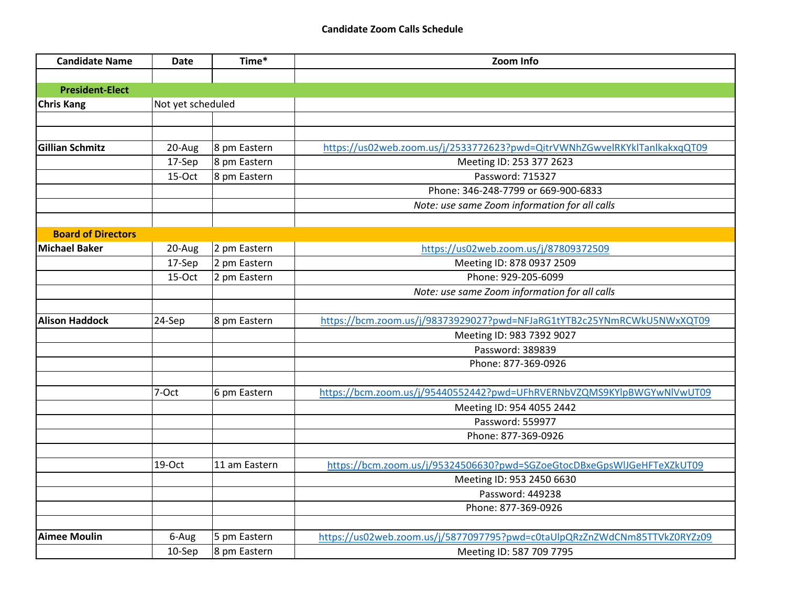| <b>Candidate Name</b>     | <b>Date</b>       | Time*         | Zoom Info                                                                 |
|---------------------------|-------------------|---------------|---------------------------------------------------------------------------|
|                           |                   |               |                                                                           |
| <b>President-Elect</b>    |                   |               |                                                                           |
| <b>Chris Kang</b>         | Not yet scheduled |               |                                                                           |
|                           |                   |               |                                                                           |
|                           |                   |               |                                                                           |
| <b>Gillian Schmitz</b>    | 20-Aug            | 8 pm Eastern  | https://us02web.zoom.us/j/2533772623?pwd=QitrVWNhZGwvelRKYklTanlkakxqQT09 |
|                           | 17-Sep            | 8 pm Eastern  | Meeting ID: 253 377 2623                                                  |
|                           | 15-Oct            | 8 pm Eastern  | Password: 715327                                                          |
|                           |                   |               | Phone: 346-248-7799 or 669-900-6833                                       |
|                           |                   |               | Note: use same Zoom information for all calls                             |
|                           |                   |               |                                                                           |
| <b>Board of Directors</b> |                   |               |                                                                           |
| <b>Michael Baker</b>      | 20-Aug            | 2 pm Eastern  | https://us02web.zoom.us/j/87809372509                                     |
|                           | 17-Sep            | 2 pm Eastern  | Meeting ID: 878 0937 2509                                                 |
|                           | 15-Oct            | 2 pm Eastern  | Phone: 929-205-6099                                                       |
|                           |                   |               | Note: use same Zoom information for all calls                             |
|                           |                   |               |                                                                           |
| <b>Alison Haddock</b>     | 24-Sep            | 8 pm Eastern  | https://bcm.zoom.us/j/98373929027?pwd=NFJaRG1tYTB2c25YNmRCWkU5NWxXQT09    |
|                           |                   |               | Meeting ID: 983 7392 9027                                                 |
|                           |                   |               | Password: 389839                                                          |
|                           |                   |               | Phone: 877-369-0926                                                       |
|                           |                   |               |                                                                           |
|                           | 7-Oct             | 6 pm Eastern  | https://bcm.zoom.us/j/95440552442?pwd=UFhRVERNbVZQMS9KYlpBWGYwNlVwUT09    |
|                           |                   |               | Meeting ID: 954 4055 2442                                                 |
|                           |                   |               | Password: 559977                                                          |
|                           |                   |               | Phone: 877-369-0926                                                       |
|                           |                   |               |                                                                           |
|                           | 19-Oct            | 11 am Eastern | https://bcm.zoom.us/j/95324506630?pwd=SGZoeGtocDBxeGpsWlJGeHFTeXZkUT09    |
|                           |                   |               | Meeting ID: 953 2450 6630                                                 |
|                           |                   |               | Password: 449238                                                          |
|                           |                   |               | Phone: 877-369-0926                                                       |
|                           |                   |               |                                                                           |
| <b>Aimee Moulin</b>       | 6-Aug             | 5 pm Eastern  | https://us02web.zoom.us/j/5877097795?pwd=c0taUlpQRzZnZWdCNm85TTVkZ0RYZz09 |
|                           | 10-Sep            | 8 pm Eastern  | Meeting ID: 587 709 7795                                                  |